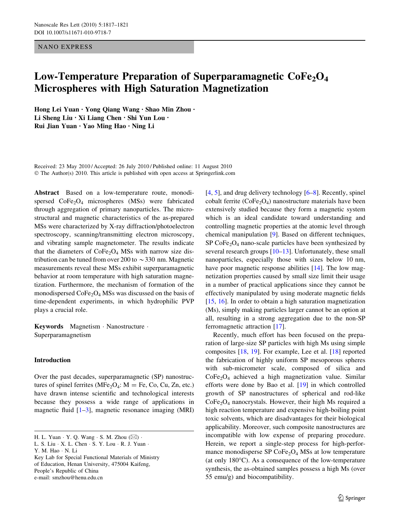# NANO EXPRESS

# Low-Temperature Preparation of Superparamagnetic  $\text{CoFe}_2\text{O}_4$ Microspheres with High Saturation Magnetization

Hong Lei Yuan • Yong Qiang Wang • Shao Min Zhou • Li Sheng Liu • Xi Liang Chen • Shi Yun Lou • Rui Jian Yuan • Yao Ming Hao • Ning Li

Received: 23 May 2010 / Accepted: 26 July 2010 / Published online: 11 August 2010 © The Author(s) 2010. This article is published with open access at Springerlink.com

Abstract Based on a low-temperature route, monodispersed  $CoFe<sub>2</sub>O<sub>4</sub>$  microspheres (MSs) were fabricated through aggregation of primary nanoparticles. The microstructural and magnetic characteristics of the as-prepared MSs were characterized by X-ray diffraction/photoelectron spectroscopy, scanning/transmitting electron microscopy, and vibrating sample magnetometer. The results indicate that the diameters of  $CoFe<sub>2</sub>O<sub>4</sub>$  MSs with narrow size distribution can be tuned from over 200 to  $\sim$  330 nm. Magnetic measurements reveal these MSs exhibit superparamagnetic behavior at room temperature with high saturation magnetization. Furthermore, the mechanism of formation of the monodispersed  $\text{CoFe}_2\text{O}_4$  MSs was discussed on the basis of time-dependent experiments, in which hydrophilic PVP plays a crucial role.

Keywords Magnetism - Nanostructure - Superparamagnetism

# Introduction

Over the past decades, superparamagnetic (SP) nanostructures of spinel ferrites (MFe<sub>2</sub>O<sub>4</sub>:  $M = Fe$ , Co, Cu, Zn, etc.) have drawn intense scientific and technological interests because they possess a wide range of applications in magnetic fluid  $[1-3]$ , magnetic resonance imaging (MRI)

H. L. Yuan  $\cdot$  Y. Q. Wang  $\cdot$  S. M. Zhou  $(\boxtimes)$   $\cdot$ 

Y. M. Hao - N. Li

Key Lab for Special Functional Materials of Ministry of Education, Henan University, 475004 Kaifeng, People's Republic of China e-mail: smzhou@henu.edu.cn

[\[4](#page-3-0), [5](#page-3-0)], and drug delivery technology [\[6](#page-3-0)[–8](#page-4-0)]. Recently, spinel cobalt ferrite  $(CoFe<sub>2</sub>O<sub>4</sub>)$  nanostructure materials have been extensively studied because they form a magnetic system which is an ideal candidate toward understanding and controlling magnetic properties at the atomic level through chemical manipulation [[9\]](#page-4-0). Based on different techniques, SP  $CoFe<sub>2</sub>O<sub>4</sub>$  nano-scale particles have been synthesized by several research groups [\[10–13](#page-4-0)]. Unfortunately, these small nanoparticles, especially those with sizes below 10 nm, have poor magnetic response abilities [\[14](#page-4-0)]. The low magnetization properties caused by small size limit their usage in a number of practical applications since they cannot be effectively manipulated by using moderate magnetic fields [\[15](#page-4-0), [16\]](#page-4-0). In order to obtain a high saturation magnetization (Ms), simply making particles larger cannot be an option at all, resulting in a strong aggregation due to the non-SP ferromagnetic attraction [\[17](#page-4-0)].

Recently, much effort has been focused on the preparation of large-size SP particles with high Ms using simple composites [[18,](#page-4-0) [19](#page-4-0)]. For example, Lee et al. [\[18](#page-4-0)] reported the fabrication of highly uniform SP mesoporous spheres with sub-micrometer scale, composed of silica and  $CoFe<sub>2</sub>O<sub>4</sub>$  achieved a high magnetization value. Similar efforts were done by Bao et al. [[19\]](#page-4-0) in which controlled growth of SP nanostructures of spherical and rod-like CoFe2O4 nanocrystals. However, their high Ms required a high reaction temperature and expensive high-boiling point toxic solvents, which are disadvantages for their biological applicability. Moreover, such composite nanostructures are incompatible with low expense of preparing procedure. Herein, we report a single-step process for high-performance monodisperse SP  $\text{CoFe}_2\text{O}_4$  MSs at low temperature (at only  $180^{\circ}$ C). As a consequence of the low-temperature synthesis, the as-obtained samples possess a high Ms (over 55 emu/g) and biocompatibility.

L. S. Liu - X. L. Chen - S. Y. Lou - R. J. Yuan -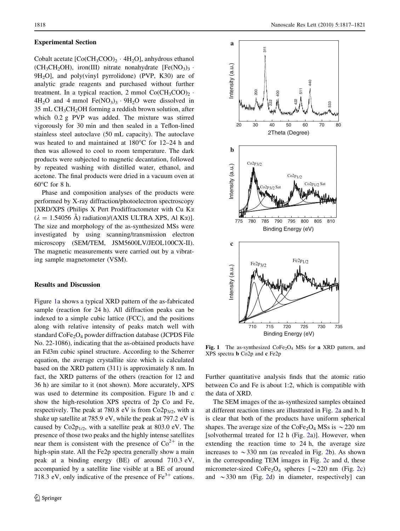#### Experimental Section

Cobalt acetate  $[Co(CH_3COO)_2 \cdot 4H_2O]$ , anhydrous ethanol  $(CH_3CH_2OH)$ , iron(III) nitrate nonahydrate  $[Fe(NO_3)_3$ .  $9H<sub>2</sub>O$ , and poly(vinyl pyrrolidone) (PVP, K30) are of analytic grade reagents and purchased without further treatment. In a typical reaction, 2 mmol  $Co(CH_3COO)_2$ .  $4H_2O$  and  $4 \text{ mmol}$  Fe(NO<sub>3</sub>)<sub>3</sub>  $\cdot$  9H<sub>2</sub>O were dissolved in  $35$  mL CH<sub>3</sub>CH<sub>2</sub>OH forming a reddish brown solution, after which 0.2 g PVP was added. The mixture was stirred vigorously for 30 min and then sealed in a Teflon-lined stainless steel autoclave (50 mL capacity). The autoclave was heated to and maintained at  $180^{\circ}$ C for  $12-24$  h and then was allowed to cool to room temperature. The dark products were subjected to magnetic decantation, followed by repeated washing with distilled water, ethanol, and acetone. The final products were dried in a vacuum oven at  $60^{\circ}$ C for 8 h.

Phase and composition analyses of the products were performed by X-ray diffraction/photoelectron spectroscopy [XRD/XPS (Philips X Pert Prodiffractometer with Cu K $\alpha$  $(\lambda = 1.54056 \text{ Å})$  radiation)/(AXIS ULTRA XPS, Al K $\alpha$ )]. The size and morphology of the as-synthesized MSs were investigated by using scanning/transmission electron microscopy (SEM/TEM, JSM5600LV/JEOL100CX-II). The magnetic measurements were carried out by a vibrating sample magnetometer (VSM).

## Results and Discussion

Figure 1a shows a typical XRD pattern of the as-fabricated sample (reaction for 24 h). All diffraction peaks can be indexed to a simple cubic lattice (FCC), and the positions along with relative intensity of peaks match well with standard CoFe<sub>2</sub>O<sub>4</sub> powder diffraction database (JCPDS File No. 22-1086), indicating that the as-obtained products have an Fd3m cubic spinel structure. According to the Scherrer equation, the average crystallite size which is calculated based on the XRD pattern (311) is approximately 8 nm. In fact, the XRD patterns of the others (reaction for 12 and 36 h) are similar to it (not shown). More accurately, XPS was used to determine its composition. Figure 1b and c show the high-resolution XPS spectra of 2p Co and Fe, respectively. The peak at 780.8 eV is from  $Co2p_{3/2}$ , with a shake up satellite at 785.9 eV, while the peak at 797.2 eV is caused by  $Co2p_{1/2}$ , with a satellite peak at 803.0 eV. The presence of those two peaks and the highly intense satellites near them is consistent with the presence of  $Co^{2+}$  in the high-spin state. All the Fe2p spectra generally show a main peak at a binding energy (BE) of around 710.3 eV, accompanied by a satellite line visible at a BE of around 718.3 eV, only indicative of the presence of  $Fe<sup>3+</sup>$  cations.



Fig. 1 The as-synthesized  $\text{CoFe}_2\text{O}_4$  MSs for a XRD pattern, and XPS spectra b Co2p and c Fe2p

Further quantitative analysis finds that the atomic ratio between Co and Fe is about 1:2, which is compatible with the data of XRD.

The SEM images of the as-synthesized samples obtained at different reaction times are illustrated in Fig. [2](#page-2-0)a and b. It is clear that both of the products have uniform spherical shapes. The average size of the CoFe<sub>2</sub>O<sub>4</sub> MSs is  $\sim$  220 nm [solvothermal treated for 12 h (Fig. [2](#page-2-0)a)]. However, when extending the reaction time to 24 h, the average size increases to  $\sim$  330 nm (as revealed in Fig. [2b](#page-2-0)). As shown in the corresponding TEM images in Fig. [2](#page-2-0)c and d, these micrometer-sized  $\text{CoFe}_2\text{O}_4$  $\text{CoFe}_2\text{O}_4$  $\text{CoFe}_2\text{O}_4$  spheres [ $\sim$  220 nm (Fig. 2c) and  $\sim$ 330 nm (Fig. [2d](#page-2-0)) in diameter, respectively] can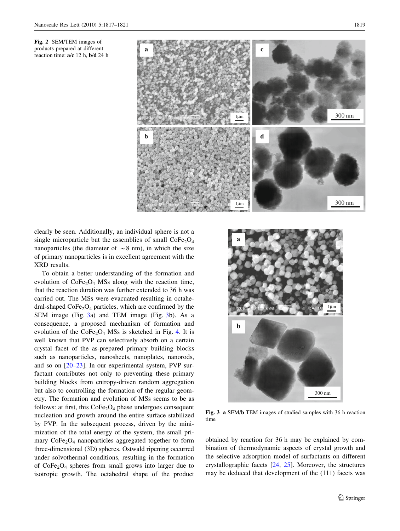<span id="page-2-0"></span>products prepared at different reaction time: a/c 12 h, b/d 24 h



clearly be seen. Additionally, an individual sphere is not a single microparticle but the assemblies of small  $\text{CoFe}_2\text{O}_4$ nanoparticles (the diameter of  $\sim$ 8 nm), in which the size of primary nanoparticles is in excellent agreement with the XRD results.

To obtain a better understanding of the formation and evolution of  $\text{CoFe}_2\text{O}_4$  MSs along with the reaction time, that the reaction duration was further extended to 36 h was carried out. The MSs were evacuated resulting in octahedral-shaped  $\text{CoFe}_2\text{O}_4$  particles, which are confirmed by the SEM image (Fig. 3a) and TEM image (Fig. 3b). As a consequence, a proposed mechanism of formation and evolution of the  $\text{CoFe}_2\text{O}_4$  MSs is sketched in Fig. [4.](#page-3-0) It is well known that PVP can selectively absorb on a certain crystal facet of the as-prepared primary building blocks such as nanoparticles, nanosheets, nanoplates, nanorods, and so on [[20–23](#page-4-0)]. In our experimental system, PVP surfactant contributes not only to preventing these primary building blocks from entropy-driven random aggregation but also to controlling the formation of the regular geometry. The formation and evolution of MSs seems to be as follows: at first, this  $CoFe<sub>2</sub>O<sub>4</sub>$  phase undergoes consequent nucleation and growth around the entire surface stabilized by PVP. In the subsequent process, driven by the minimization of the total energy of the system, the small primary  $CoFe<sub>2</sub>O<sub>4</sub>$  nanoparticles aggregated together to form three-dimensional (3D) spheres. Ostwald ripening occurred under solvothermal conditions, resulting in the formation of  $CoFe<sub>2</sub>O<sub>4</sub>$  spheres from small grows into larger due to isotropic growth. The octahedral shape of the product



Fig. 3 a SEM/b TEM images of studied samples with 36 h reaction time

obtained by reaction for 36 h may be explained by combination of thermodynamic aspects of crystal growth and the selective adsorption model of surfactants on different crystallographic facets [[24,](#page-4-0) [25\]](#page-4-0). Moreover, the structures may be deduced that development of the (111) facets was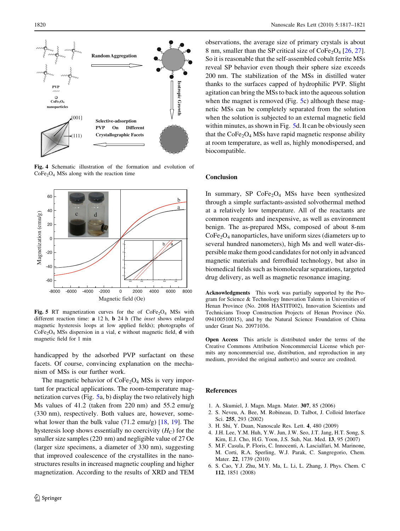<span id="page-3-0"></span>

Fig. 4 Schematic illustration of the formation and evolution of  $CoFe<sub>2</sub>O<sub>4</sub>$  MSs along with the reaction time



Fig. 5 RT magnetization curves for the of  $CoFe<sub>2</sub>O<sub>4</sub>$  MSs with different reaction time: a 12 h, b 24 h (The inset shows enlarged magnetic hysteresis loops at low applied fields); photographs of  $CoFe<sub>2</sub>O<sub>4</sub>$  MSs dispersion in a vial, c without magnetic field, d with magnetic field for 1 min

handicapped by the adsorbed PVP surfactant on these facets. Of course, convincing explanation on the mechanism of MSs is our further work.

The magnetic behavior of  $\text{CoFe}_2\text{O}_4$  MSs is very important for practical applications. The room-temperature magnetization curves (Fig. 5a, b) display the two relatively high Ms values of 41.2 (taken from 220 nm) and 55.2 emu/g (330 nm), respectively. Both values are, however, somewhat lower than the bulk value (71.2 emu/g) [\[18](#page-4-0), [19\]](#page-4-0). The hysteresis loop shows essentially no coercivity  $(H_C)$  for the smaller size samples (220 nm) and negligible value of 27 Oe (larger size specimens, a diameter of 330 nm), suggesting that improved coalescence of the crystallites in the nanostructures results in increased magnetic coupling and higher magnetization. According to the results of XRD and TEM observations, the average size of primary crystals is about 8 nm, smaller than the SP critical size of  $\text{CoFe}_2\text{O}_4$  [[26,](#page-4-0) [27](#page-4-0)]. So it is reasonable that the self-assembled cobalt ferrite MSs reveal SP behavior even though their sphere size exceeds 200 nm. The stabilization of the MSs in distilled water thanks to the surfaces capped of hydrophilic PVP. Slight agitation can bring the MSs to back into the aqueous solution when the magnet is removed (Fig. 5c) although these magnetic MSs can be completely separated from the solution when the solution is subjected to an external magnetic field within minutes, as shown in Fig. 5d. It can be obviously seen that the  $\text{CoFe}_2\text{O}_4$  MSs have rapid magnetic response ability at room temperature, as well as, highly monodispersed, and biocompatible.

#### Conclusion

In summary, SP  $CoFe<sub>2</sub>O<sub>4</sub>$  MSs have been synthesized through a simple surfactants-assisted solvothermal method at a relatively low temperature. All of the reactants are common reagents and inexpensive, as well as environment benign. The as-prepared MSs, composed of about 8-nm  $CoFe<sub>2</sub>O<sub>4</sub>$  nanoparticles, have uniform sizes (diameters up to several hundred nanometers), high Ms and well water-dispersible make them good candidates for not only in advanced magnetic materials and ferrofluid technology, but also in biomedical fields such as biomolecular separations, targeted drug delivery, as well as magnetic resonance imaging.

Acknowledgments This work was partially supported by the Program for Science & Technology Innovation Talents in Universities of Henan Province (No. 2008 HASTIT002), Innovation Scientists and Technicians Troop Construction Projects of Henan Province (No. 094100510015), and by the Natural Science Foundation of China under Grant No. 20971036.

Open Access This article is distributed under the terms of the Creative Commons Attribution Noncommercial License which permits any noncommercial use, distribution, and reproduction in any medium, provided the original author(s) and source are credited.

### References

- 1. A. Skumiel, J. Magn. Magn. Mater. 307, 85 (2006)
- 2. S. Neveu, A. Bee, M. Robineau, D. Talbot, J. Colloid Interface Sci. 255, 293 (2002)
- 3. H. Shi, Y. Duan, Nanoscale Res. Lett. 4, 480 (2009)
- 4. J.H. Lee, Y.M. Huh, Y.W. Jun, J.W. Seo, J.T. Jang, H.T. Song, S. Kim, E.J. Cho, H.G. Yoon, J.S. Suh, Nat. Med. 13, 95 (2007)
- 5. M.F. Casula, P. Floris, C. Innocenti, A. Lascialfari, M. Marinone, M. Corti, R.A. Sperling, W.J. Parak, C. Sangregorio, Chem. Mater. 22, 1739 (2010)
- 6. S. Cao, Y.J. Zhu, M.Y. Ma, L. Li, L. Zhang, J. Phys. Chem. C 112, 1851 (2008)